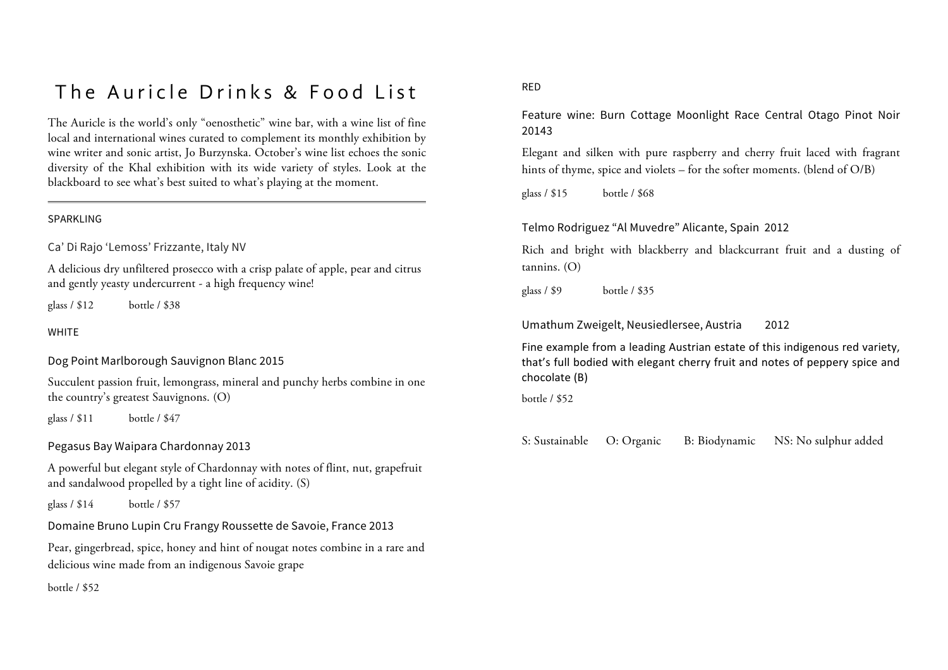## The Auricle Drinks & Food List

The Auricle is the world's only "oenosthetic" wine bar, with a wine list of fine local and international wines curated to complement its monthly exhibition by wine writer and sonic artist, Jo Burzynska. October's wine list echoes the sonic diversity of the Khal exhibition with its wide variety of styles. Look at the blackboard to see what's best suited to what's playing at the moment.

#### SPARKLING

Ca' Di Rajo 'Lemoss' Frizzante, Italy NV

A delicious dry unfiltered prosecco with a crisp palate of apple, pear and citrus and gently yeasty undercurrent - a high frequency wine!

glass / \$12 bottle / \$38

**WHITE** 

Dog Point Marlborough Sauvignon Blanc 2015

Succulent passion fruit, lemongrass, mineral and punchy herbs combine in one the country's greatest Sauvignons. (O)

glass / \$11 bottle / \$47

Pegasus Bay Waipara Chardonnay 2013

A powerful but elegant style of Chardonnay with notes of flint, nut, grapefruit and sandalwood propelled by a tight line of acidity. (S)

glass / \$14 bottle / \$57

Domaine Bruno Lupin Cru Frangy Roussette de Savoie, France 2013

Pear, gingerbread, spice, honey and hint of nougat notes combine in a rare and delicious wine made from an indigenous Savoie grape

bottle / \$52

RED

Feature wine: Burn Cottage Moonlight Race Central Otago Pinot Noir 20143

Elegant and silken with pure raspberry and cherry fruit laced with fragrant hints of thyme, spice and violets – for the softer moments. (blend of O/B)

glass / \$15 bottle / \$68

### Telmo Rodriguez "Al Muvedre" Alicante, Spain 2012

Rich and bright with blackberry and blackcurrant fruit and a dusting of tannins. (O)

glass / \$9 bottle / \$35

### Umathum Zweigelt, Neusiedlersee, Austria 2012

Fine example from a leading Austrian estate of this indigenous red variety, that's full bodied with elegant cherry fruit and notes of peppery spice and chocolate (B)

bottle / \$52

S: Sustainable O: Organic B: Biodynamic NS: No sulphur added